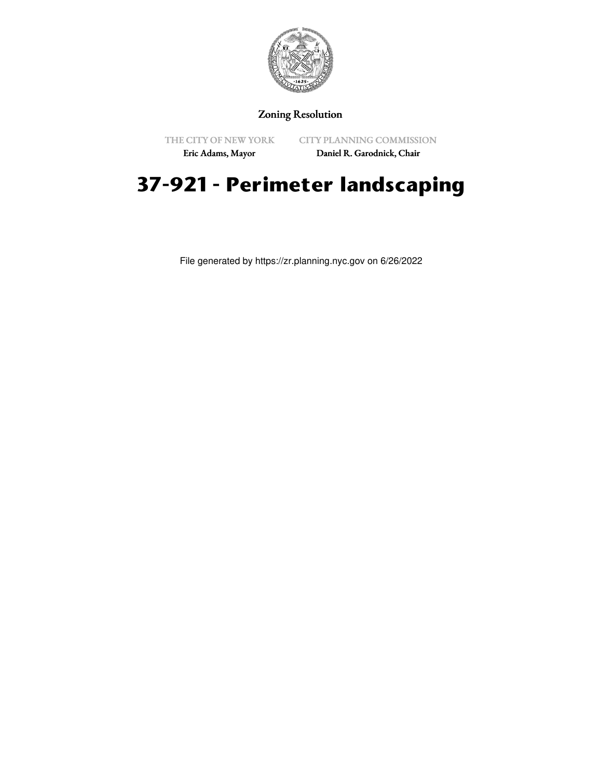

## Zoning Resolution

THE CITY OF NEW YORK

CITY PLANNING COMMISSION

Eric Adams, Mayor

Daniel R. Garodnick, Chair

# **37-921 - Perimeter landscaping**

File generated by https://zr.planning.nyc.gov on 6/26/2022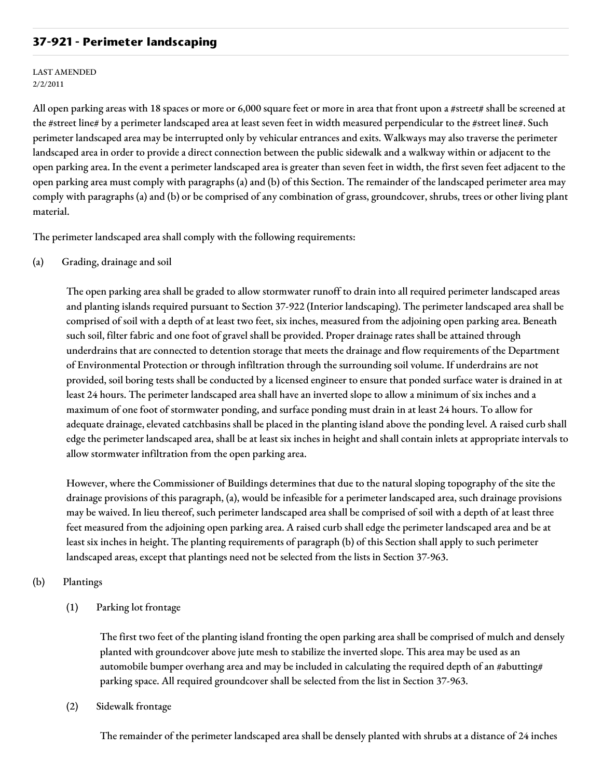## **37-921 - Perimeter landscaping**

#### LAST AMENDED 2/2/2011

All open parking areas with 18 spaces or more or 6,000 square feet or more in area that front upon a #street# shall be screened at the #street line# by a perimeter landscaped area at least seven feet in width measured perpendicular to the #street line#. Such perimeter landscaped area may be interrupted only by vehicular entrances and exits. Walkways may also traverse the perimeter landscaped area in order to provide a direct connection between the public sidewalk and a walkway within or adjacent to the open parking area. In the event a perimeter landscaped area is greater than seven feet in width, the first seven feet adjacent to the open parking area must comply with paragraphs (a) and (b) of this Section. The remainder of the landscaped perimeter area may comply with paragraphs (a) and (b) or be comprised of any combination of grass, groundcover, shrubs, trees or other living plant material.

The perimeter landscaped area shall comply with the following requirements:

(a) Grading, drainage and soil

The open parking area shall be graded to allow stormwater runoff to drain into all required perimeter landscaped areas and planting islands required pursuant to Section 37-922 (Interior landscaping). The perimeter landscaped area shall be comprised of soil with a depth of at least two feet, six inches, measured from the adjoining open parking area. Beneath such soil, filter fabric and one foot of gravel shall be provided. Proper drainage rates shall be attained through underdrains that are connected to detention storage that meets the drainage and flow requirements of the Department of Environmental Protection or through infiltration through the surrounding soil volume. If underdrains are not provided, soil boring tests shall be conducted by a licensed engineer to ensure that ponded surface water is drained in at least 24 hours. The perimeter landscaped area shall have an inverted slope to allow a minimum of six inches and a maximum of one foot of stormwater ponding, and surface ponding must drain in at least 24 hours. To allow for adequate drainage, elevated catchbasins shall be placed in the planting island above the ponding level. A raised curb shall edge the perimeter landscaped area, shall be at least six inches in height and shall contain inlets at appropriate intervals to allow stormwater infiltration from the open parking area.

However, where the Commissioner of Buildings determines that due to the natural sloping topography of the site the drainage provisions of this paragraph, (a), would be infeasible for a perimeter landscaped area, such drainage provisions may be waived. In lieu thereof, such perimeter landscaped area shall be comprised of soil with a depth of at least three feet measured from the adjoining open parking area. A raised curb shall edge the perimeter landscaped area and be at least six inches in height. The planting requirements of paragraph (b) of this Section shall apply to such perimeter landscaped areas, except that plantings need not be selected from the lists in Section 37-963.

## (b) Plantings

(1) Parking lot frontage

The first two feet of the planting island fronting the open parking area shall be comprised of mulch and densely planted with groundcover above jute mesh to stabilize the inverted slope. This area may be used as an automobile bumper overhang area and may be included in calculating the required depth of an #abutting# parking space. All required groundcover shall be selected from the list in Section 37-963.

(2) Sidewalk frontage

The remainder of the perimeter landscaped area shall be densely planted with shrubs at a distance of 24 inches